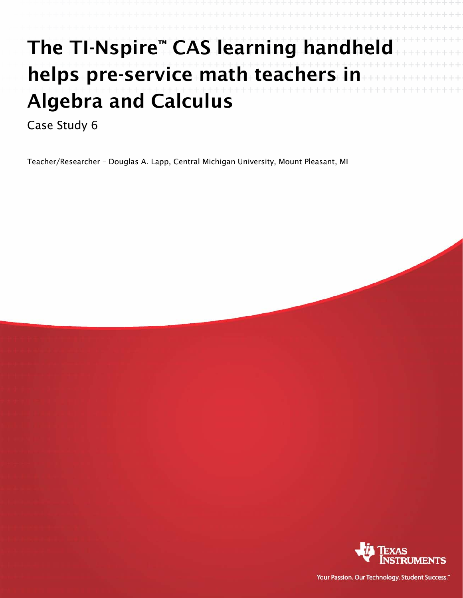## The TI-Nspire™ CAS learning handheld helps pre-service math teachers in Algebra and Calculus

Case Study 6

Teacher/Researcher – Douglas A. Lapp, Central Michigan University, Mount Pleasant, MI



Your Passion. Our Technology. Student Success."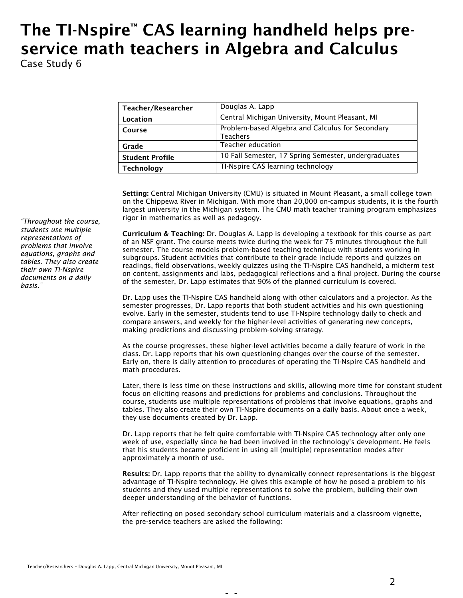## The TI-Nspire™ CAS learning handheld helps preservice math teachers in Algebra and Calculus Case Study 6

| Teacher/Researcher     | Douglas A. Lapp                                                     |  |  |
|------------------------|---------------------------------------------------------------------|--|--|
| Location               | Central Michigan University, Mount Pleasant, MI                     |  |  |
| Course                 | Problem-based Algebra and Calculus for Secondary<br><b>Teachers</b> |  |  |
| Grade                  | Teacher education                                                   |  |  |
| <b>Student Profile</b> | 10 Fall Semester, 17 Spring Semester, undergraduates                |  |  |
| Technology             | TI-Nspire CAS learning technology                                   |  |  |

Setting: Central Michigan University (CMU) is situated in Mount Pleasant, a small college town on the Chippewa River in Michigan. With more than 20,000 on-campus students, it is the fourth largest university in the Michigan system. The CMU math teacher training program emphasizes rigor in mathematics as well as pedagogy.

Curriculum & Teaching: Dr. Douglas A. Lapp is developing a textbook for this course as part of an NSF grant. The course meets twice during the week for 75 minutes throughout the full semester. The course models problem-based teaching technique with students working in subgroups. Student activities that contribute to their grade include reports and quizzes on readings, field observations, weekly quizzes using the TI-Nspire CAS handheld, a midterm test on content, assignments and labs, pedagogical reflections and a final project. During the course of the semester, Dr. Lapp estimates that 90% of the planned curriculum is covered.

Dr. Lapp uses the TI-Nspire CAS handheld along with other calculators and a projector. As the semester progresses, Dr. Lapp reports that both student activities and his own questioning evolve. Early in the semester, students tend to use TI-Nspire technology daily to check and compare answers, and weekly for the higher-level activities of generating new concepts, making predictions and discussing problem-solving strategy.

As the course progresses, these higher-level activities become a daily feature of work in the class. Dr. Lapp reports that his own questioning changes over the course of the semester. Early on, there is daily attention to procedures of operating the TI-Nspire CAS handheld and math procedures.

Later, there is less time on these instructions and skills, allowing more time for constant student focus on eliciting reasons and predictions for problems and conclusions. Throughout the course, students use multiple representations of problems that involve equations, graphs and tables. They also create their own TI-Nspire documents on a daily basis. About once a week, they use documents created by Dr. Lapp.

Dr. Lapp reports that he felt quite comfortable with TI-Nspire CAS technology after only one week of use, especially since he had been involved in the technology's development. He feels that his students became proficient in using all (multiple) representation modes after approximately a month of use.

Results: Dr. Lapp reports that the ability to dynamically connect representations is the biggest advantage of TI-Nspire technology. He gives this example of how he posed a problem to his students and they used multiple representations to solve the problem, building their own deeper understanding of the behavior of functions.

After reflecting on posed secondary school curriculum materials and a classroom vignette, the pre-service teachers are asked the following:

*"Throughout the course, students use multiple representations of problems that involve equations, graphs and tables. They also create their own TI-Nspire documents on a daily basis."*

- -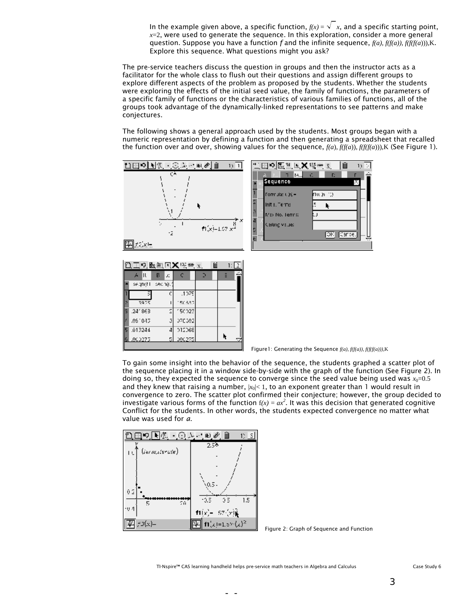In the example given above, a specific function,  $f(x) = \sqrt{x}$ , and a specific starting point,  $x=2$ , were used to generate the sequence. In this exploration, consider a more general question. Suppose you have a function *f* and the infinite sequence, *f(a), f(f(a))*, *f(f(f(a*))),K. Explore this sequence. What questions might you ask?

The pre-service teachers discuss the question in groups and then the instructor acts as a facilitator for the whole class to flush out their questions and assign different groups to explore different aspects of the problem as proposed by the students. Whether the students were exploring the effects of the initial seed value, the family of functions, the parameters of a specific family of functions or the characteristics of various families of functions, all of the groups took advantage of the dynamically-linked representations to see patterns and make conjectures.

The following shows a general approach used by the students. Most groups began with a numeric representation by defining a function and then generating a spreadsheet that recalled the function over and over, showing values for the sequence,  $f(a)$ ,  $f(f(a))$ ,  $f(f(f(a)))$ , K (See Figure 1).



| 色工の医红巨X座8×.<br>1: I |                   |          |        |  |  |  |
|---------------------|-------------------|----------|--------|--|--|--|
|                     | Щ<br>A            | в<br>£.  |        |  |  |  |
|                     | segnati           | isech(). |        |  |  |  |
|                     |                   | c        | .1075  |  |  |  |
|                     | 3975              |          | 150537 |  |  |  |
| ß                   | .241863           | 2        | 150023 |  |  |  |
| F                   | .091043           |          | 070502 |  |  |  |
| 15                  | .013244           |          | 012068 |  |  |  |
|                     | <b>GILLOCO275</b> | г,       | 000275 |  |  |  |
|                     |                   |          |        |  |  |  |



**Figure1: Generating the Sequence**  $f(a)$ ,  $f(f(a))$ ,  $f(f(f(a)))$ , K

To gain some insight into the behavior of the sequence, the students graphed a scatter plot of the sequence placing it in a window side-by-side with the graph of the function (See Figure 2). In doing so, they expected the sequence to converge since the seed value being used was  $x_0$ =0.5 and they knew that raising a number,  $|x_0| < 1$ , to an exponent greater than 1 would result in convergence to zero. The scatter plot confirmed their conjecture; however, the group decided to investigate various forms of the function  $f(x) = ax^2$ . It was this decision that generated cognitive Conflict for the students. In other words, the students expected convergence no matter what value was used for *a*.

| E<br>HA 02<br>1)   S |                            |  |  |  |  |
|----------------------|----------------------------|--|--|--|--|
| (iermaterute)<br>ΙU  | $2.5*$                     |  |  |  |  |
|                      |                            |  |  |  |  |
|                      |                            |  |  |  |  |
| 02                   | (0.5)                      |  |  |  |  |
| 5.<br>Σň             | 1.5<br>-0.5<br>05          |  |  |  |  |
| -94                  | $-57$ $(r)$<br>$f1(x) -$   |  |  |  |  |
| 73(x)=               | f1(x)=1.5%(x) <sup>2</sup> |  |  |  |  |

Figure 2: Graph of Sequence and Function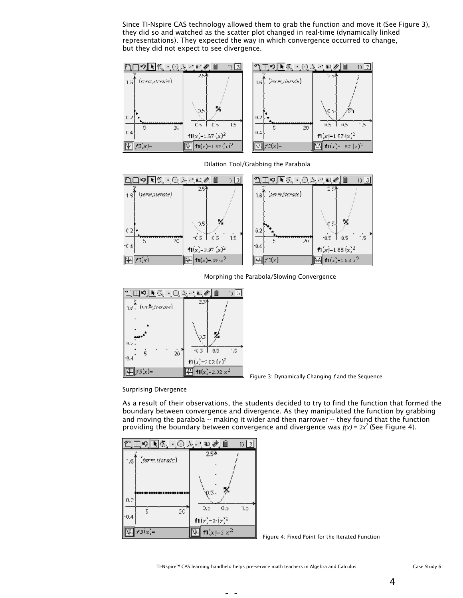Since TI-Nspire CAS technology allowed them to grab the function and move it (See Figure 3), they did so and watched as the scatter plot changed in real-time (dynamically linked representations). They expected the way in which convergence occurred to change, but they did not expect to see divergence.





Dilation Tool/Grabbing the Parabola





Figure 3: Dynamically Changing *f* and the Sequence

Surprising Divergence

As a result of their observations, the students decided to try to find the function that formed the boundary between convergence and divergence. As they manipulated the function by grabbing and moving the parabola -- making it wider and then narrower -- they found that the function providing the boundary between convergence and divergence was  $f(x) = 2x^2$  (See Figure 4).

| 王の国側 〇人 ①夕白                    | DΤ                     |
|--------------------------------|------------------------|
| (termitorate)<br>$^{\circ}$ .6 | $25*$                  |
|                                |                        |
|                                |                        |
|                                | YUS.                   |
| 0.2                            | 0.5<br>0,5<br>1.5      |
| 5<br>20<br>10.4                | $f1(r)-2(r)^2$         |
| $f3(x)$ –                      | f1(x1–2 x <sup>2</sup> |
|                                |                        |

Figure 4: Fixed Point for the Iterated Function

TI-Nspire™ CAS learning handheld helps pre-service math teachers in Algebra and Calculus Case Study 6

4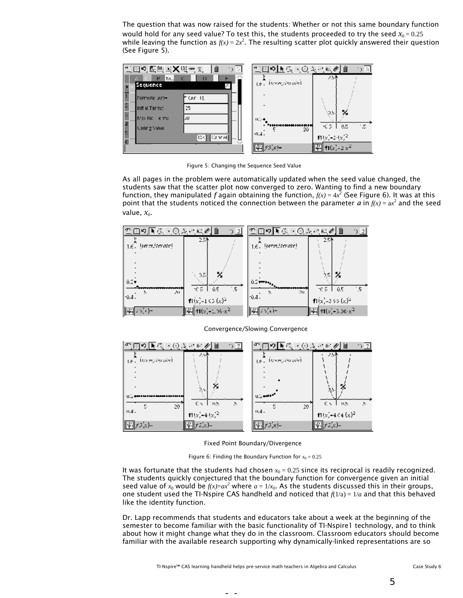The question that was now raised for the students: Whether or not this same boundary function would hold for any seed value? To test this, the students proceeded to try the seed  $x_0 = 0.25$ while leaving the function as  $f(x) = 2x^2$ . The resulting scatter plot quickly answered their question (See Figure 5).



Figure 5: Changing the Sequence Seed Value

As all pages in the problem were automatically updated when the seed value changed, the students saw that the scatter plot now converged to zero. Wanting to find a new boundary function, they manipulated  $f$  again obtaining the function,  $f(x) = 4x^2$  (See Figure 6). It was at this point that the students noticed the connection between the parameter *a* in  $f(x) = ax^2$  and the seed value,  $x_0$ .





Convergence/Slowing Convergence

Fixed Point Boundary/Divergence

Figure 6: Finding the Boundary Function for  $x_0 = 0.25$ 

It was fortunate that the students had chosen  $x_0 = 0.25$  since its reciprocal is readily recognized. The students quickly conjectured that the boundary function for convergence given an initial seed value of  $x_0$  would be  $f(x)=ax^2$  where  $a=1/x_0$ . As the students discussed this in their groups, one student used the TI-Nspire CAS handheld and noticed that *f*(1/a) = 1/*a* and that this behaved like the identity function.

Dr. Lapp recommends that students and educators take about a week at the beginning of the semester to become familiar with the basic functionality of TI-Nspire1 technology, and to think about how it might change what they do in the classroom. Classroom educators should become familiar with the available research supporting why dynamically-linked representations are so